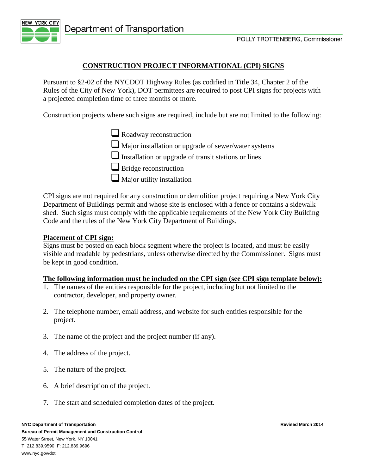

### **CONSTRUCTION PROJECT INFORMATIONAL (CPI) SIGNS**

Pursuant to §2-02 of the NYCDOT Highway Rules (as codified in Title 34, Chapter 2 of the Rules of the City of New York), DOT permittees are required to post CPI signs for projects with a projected completion time of three months or more.

Construction projects where such signs are required, include but are not limited to the following:

Roadway reconstruction

Major installation or upgrade of sewer/water systems

 $\Box$  Installation or upgrade of transit stations or lines

 $\Box$  Bridge reconstruction

 $\Box$  Major utility installation

CPI signs are not required for any construction or demolition project requiring a New York City Department of Buildings permit and whose site is enclosed with a fence or contains a sidewalk shed. Such signs must comply with the applicable requirements of the New York City Building Code and the rules of the New York City Department of Buildings.

#### **Placement of CPI sign:**

Signs must be posted on each block segment where the project is located, and must be easily visible and readable by pedestrians, unless otherwise directed by the Commissioner. Signs must be kept in good condition.

#### **The following information must be included on the CPI sign (see CPI sign template below):**

- 1. The names of the entities responsible for the project, including but not limited to the contractor, developer, and property owner.
- 2. The telephone number, email address, and website for such entities responsible for the project.
- 3. The name of the project and the project number (if any).
- 4. The address of the project.
- 5. The nature of the project.
- 6. A brief description of the project.
- 7. The start and scheduled completion dates of the project.